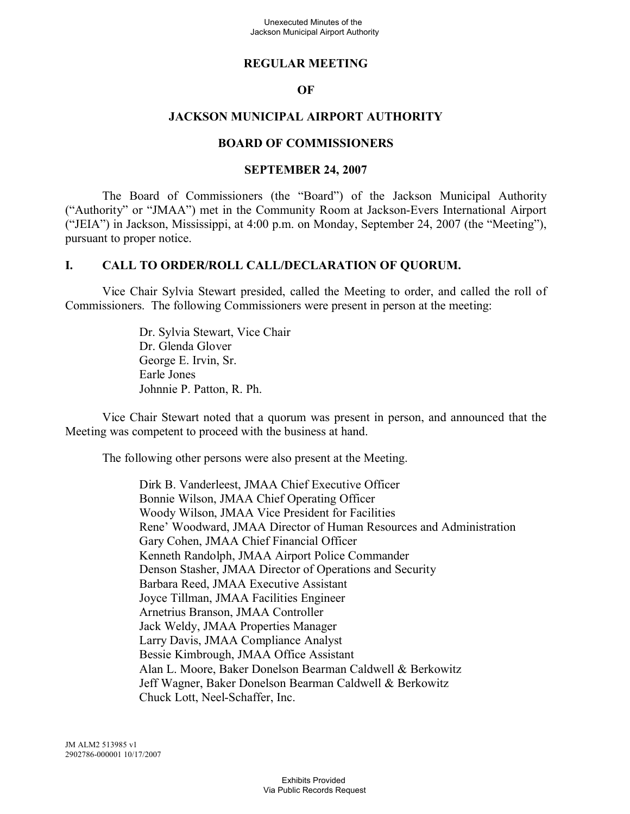## **REGULAR MEETING**

#### **OF**

## **JACKSON MUNICIPAL AIRPORT AUTHORITY**

#### **BOARD OF COMMISSIONERS**

#### **SEPTEMBER 24, 2007**

The Board of Commissioners (the "Board") of the Jackson Municipal Authority ("Authority" or "JMAA") met in the Community Room at Jackson-Evers International Airport ("JEIA") in Jackson, Mississippi, at 4:00 p.m. on Monday, September 24, 2007 (the "Meeting"), pursuant to proper notice.

## **I. CALL TO ORDER/ROLL CALL/DECLARATION OF QUORUM.**

Vice Chair Sylvia Stewart presided, called the Meeting to order, and called the roll of Commissioners. The following Commissioners were present in person at the meeting:

> Dr. Sylvia Stewart, Vice Chair Dr. Glenda Glover George E. Irvin, Sr. Earle Jones Johnnie P. Patton, R. Ph.

Vice Chair Stewart noted that a quorum was present in person, and announced that the Meeting was competent to proceed with the business at hand.

The following other persons were also present at the Meeting.

Dirk B. Vanderleest, JMAA Chief Executive Officer Bonnie Wilson, JMAA Chief Operating Officer Woody Wilson, JMAA Vice President for Facilities Rene' Woodward, JMAA Director of Human Resources and Administration Gary Cohen, JMAA Chief Financial Officer Kenneth Randolph, JMAA Airport Police Commander Denson Stasher, JMAA Director of Operations and Security Barbara Reed, JMAA Executive Assistant Joyce Tillman, JMAA Facilities Engineer Arnetrius Branson, JMAA Controller Jack Weldy, JMAA Properties Manager Larry Davis, JMAA Compliance Analyst Bessie Kimbrough, JMAA Office Assistant Alan L. Moore, Baker Donelson Bearman Caldwell & Berkowitz Jeff Wagner, Baker Donelson Bearman Caldwell & Berkowitz Chuck Lott, Neel-Schaffer, Inc.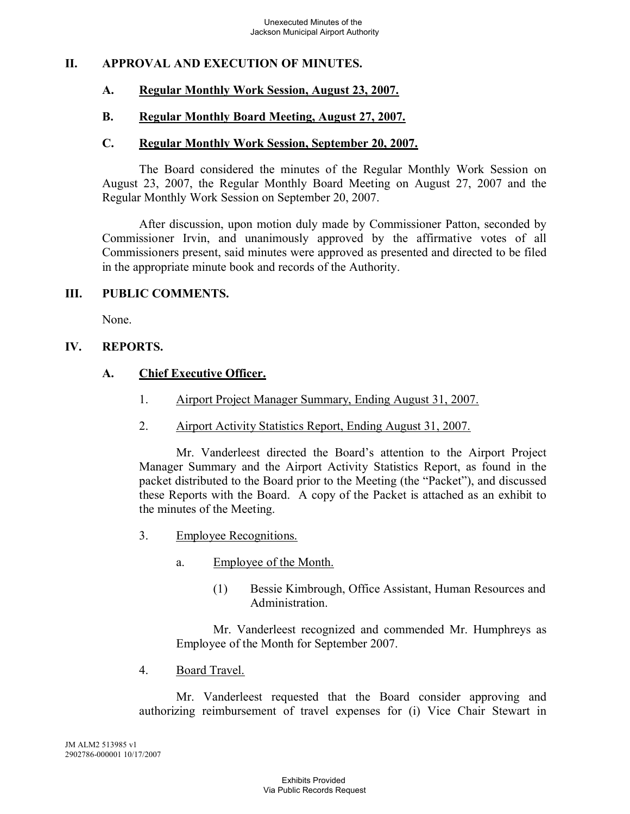## **II. APPROVAL AND EXECUTION OF MINUTES.**

## **A. Regular Monthly Work Session, August 23, 2007.**

#### **B. Regular Monthly Board Meeting, August 27, 2007.**

#### **C. Regular Monthly Work Session, September 20, 2007.**

The Board considered the minutes of the Regular Monthly Work Session on August 23, 2007, the Regular Monthly Board Meeting on August 27, 2007 and the Regular Monthly Work Session on September 20, 2007.

After discussion, upon motion duly made by Commissioner Patton, seconded by Commissioner Irvin, and unanimously approved by the affirmative votes of all Commissioners present, said minutes were approved as presented and directed to be filed in the appropriate minute book and records of the Authority.

#### **III. PUBLIC COMMENTS.**

None.

## **IV. REPORTS.**

## **A. Chief Executive Officer.**

- 1. Airport Project Manager Summary, Ending August 31, 2007.
- 2. Airport Activity Statistics Report, Ending August 31, 2007.

Mr. Vanderleest directed the Board's attention to the Airport Project Manager Summary and the Airport Activity Statistics Report, as found in the packet distributed to the Board prior to the Meeting (the "Packet"), and discussed these Reports with the Board. A copy of the Packet is attached as an exhibit to the minutes of the Meeting.

- 3. Employee Recognitions.
	- a. Employee of the Month.
		- (1) Bessie Kimbrough, Office Assistant, Human Resources and **Administration**

Mr. Vanderleest recognized and commended Mr. Humphreys as Employee of the Month for September 2007.

4. Board Travel.

Mr. Vanderleest requested that the Board consider approving and authorizing reimbursement of travel expenses for (i) Vice Chair Stewart in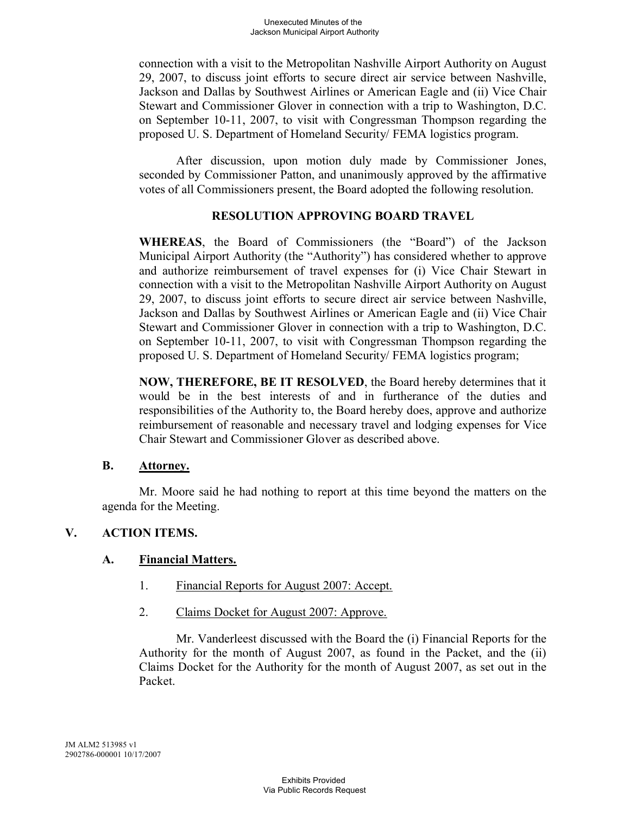connection with a visit to the Metropolitan Nashville Airport Authority on August 29, 2007, to discuss joint efforts to secure direct air service between Nashville, Jackson and Dallas by Southwest Airlines or American Eagle and (ii) Vice Chair Stewart and Commissioner Glover in connection with a trip to Washington, D.C. on September 10-11, 2007, to visit with Congressman Thompson regarding the proposed U. S. Department of Homeland Security/ FEMA logistics program.

After discussion, upon motion duly made by Commissioner Jones, seconded by Commissioner Patton, and unanimously approved by the affirmative votes of all Commissioners present, the Board adopted the following resolution.

# **RESOLUTION APPROVING BOARD TRAVEL**

**WHEREAS**, the Board of Commissioners (the "Board") of the Jackson Municipal Airport Authority (the "Authority") has considered whether to approve and authorize reimbursement of travel expenses for (i) Vice Chair Stewart in connection with a visit to the Metropolitan Nashville Airport Authority on August 29, 2007, to discuss joint efforts to secure direct air service between Nashville, Jackson and Dallas by Southwest Airlines or American Eagle and (ii) Vice Chair Stewart and Commissioner Glover in connection with a trip to Washington, D.C. on September 10-11, 2007, to visit with Congressman Thompson regarding the proposed U. S. Department of Homeland Security/ FEMA logistics program;

**NOW, THEREFORE, BE IT RESOLVED**, the Board hereby determines that it would be in the best interests of and in furtherance of the duties and responsibilities of the Authority to, the Board hereby does, approve and authorize reimbursement of reasonable and necessary travel and lodging expenses for Vice Chair Stewart and Commissioner Glover as described above.

# **B. Attorney.**

Mr. Moore said he had nothing to report at this time beyond the matters on the agenda for the Meeting.

# **V. ACTION ITEMS.**

# **A. Financial Matters.**

- 1. Financial Reports for August 2007: Accept.
- 2. Claims Docket for August 2007: Approve.

Mr. Vanderleest discussed with the Board the (i) Financial Reports for the Authority for the month of August 2007, as found in the Packet, and the (ii) Claims Docket for the Authority for the month of August 2007, as set out in the Packet.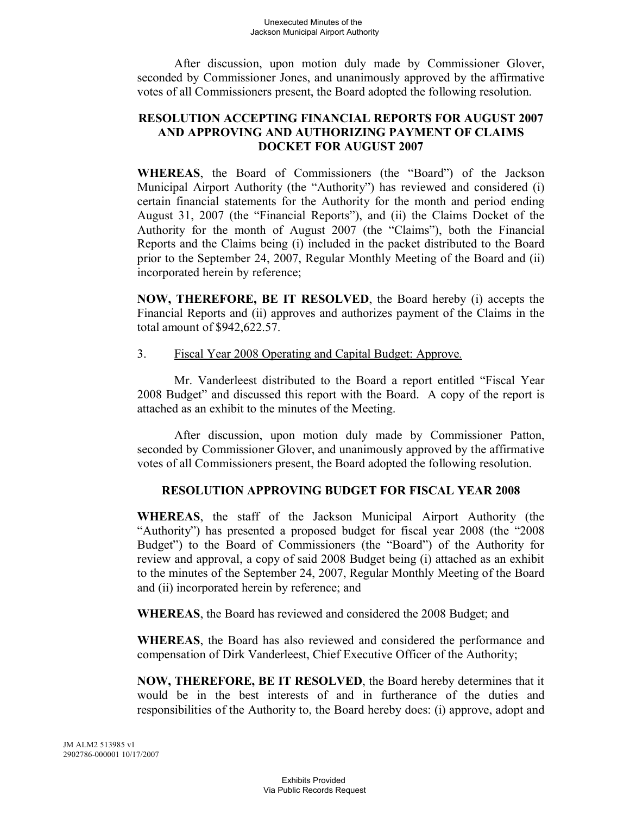After discussion, upon motion duly made by Commissioner Glover, seconded by Commissioner Jones, and unanimously approved by the affirmative votes of all Commissioners present, the Board adopted the following resolution.

# **RESOLUTION ACCEPTING FINANCIAL REPORTS FOR AUGUST 2007 AND APPROVING AND AUTHORIZING PAYMENT OF CLAIMS DOCKET FOR AUGUST 2007**

**WHEREAS**, the Board of Commissioners (the "Board") of the Jackson Municipal Airport Authority (the "Authority") has reviewed and considered (i) certain financial statements for the Authority for the month and period ending August 31, 2007 (the "Financial Reports"), and (ii) the Claims Docket of the Authority for the month of August 2007 (the "Claims"), both the Financial Reports and the Claims being (i) included in the packet distributed to the Board prior to the September 24, 2007, Regular Monthly Meeting of the Board and (ii) incorporated herein by reference;

**NOW, THEREFORE, BE IT RESOLVED**, the Board hereby (i) accepts the Financial Reports and (ii) approves and authorizes payment of the Claims in the total amount of \$942,622.57.

3. Fiscal Year 2008 Operating and Capital Budget: Approve.

Mr. Vanderleest distributed to the Board a report entitled "Fiscal Year 2008 Budget" and discussed this report with the Board. A copy of the report is attached as an exhibit to the minutes of the Meeting.

After discussion, upon motion duly made by Commissioner Patton, seconded by Commissioner Glover, and unanimously approved by the affirmative votes of all Commissioners present, the Board adopted the following resolution.

# **RESOLUTION APPROVING BUDGET FOR FISCAL YEAR 2008**

**WHEREAS**, the staff of the Jackson Municipal Airport Authority (the "Authority") has presented a proposed budget for fiscal year 2008 (the "2008 Budget") to the Board of Commissioners (the "Board") of the Authority for review and approval, a copy of said 2008 Budget being (i) attached as an exhibit to the minutes of the September 24, 2007, Regular Monthly Meeting of the Board and (ii) incorporated herein by reference; and

**WHEREAS**, the Board has reviewed and considered the 2008 Budget; and

**WHEREAS**, the Board has also reviewed and considered the performance and compensation of Dirk Vanderleest, Chief Executive Officer of the Authority;

**NOW, THEREFORE, BE IT RESOLVED**, the Board hereby determines that it would be in the best interests of and in furtherance of the duties and responsibilities of the Authority to, the Board hereby does: (i) approve, adopt and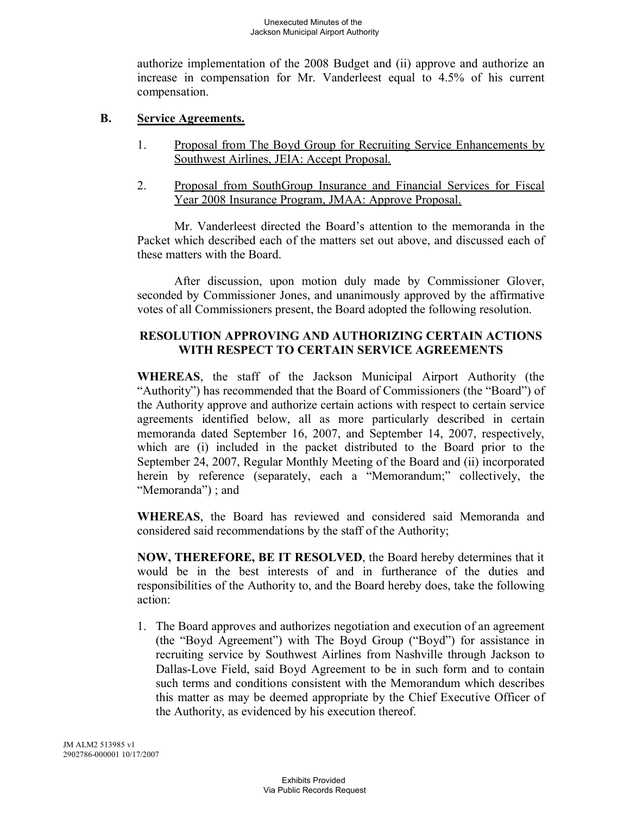authorize implementation of the 2008 Budget and (ii) approve and authorize an increase in compensation for Mr. Vanderleest equal to 4.5% of his current compensation.

# **B. Service Agreements.**

- 1. Proposal from The Boyd Group for Recruiting Service Enhancements by Southwest Airlines, JEIA: Accept Proposal.
- 2. Proposal from SouthGroup Insurance and Financial Services for Fiscal Year 2008 Insurance Program, JMAA: Approve Proposal.

Mr. Vanderleest directed the Board's attention to the memoranda in the Packet which described each of the matters set out above, and discussed each of these matters with the Board.

After discussion, upon motion duly made by Commissioner Glover, seconded by Commissioner Jones, and unanimously approved by the affirmative votes of all Commissioners present, the Board adopted the following resolution.

# **RESOLUTION APPROVING AND AUTHORIZING CERTAIN ACTIONS WITH RESPECT TO CERTAIN SERVICE AGREEMENTS**

**WHEREAS**, the staff of the Jackson Municipal Airport Authority (the "Authority") has recommended that the Board of Commissioners (the "Board") of the Authority approve and authorize certain actions with respect to certain service agreements identified below, all as more particularly described in certain memoranda dated September 16, 2007, and September 14, 2007, respectively, which are (i) included in the packet distributed to the Board prior to the September 24, 2007, Regular Monthly Meeting of the Board and (ii) incorporated herein by reference (separately, each a "Memorandum;" collectively, the "Memoranda") ; and

**WHEREAS**, the Board has reviewed and considered said Memoranda and considered said recommendations by the staff of the Authority;

**NOW, THEREFORE, BE IT RESOLVED**, the Board hereby determines that it would be in the best interests of and in furtherance of the duties and responsibilities of the Authority to, and the Board hereby does, take the following action:

1. The Board approves and authorizes negotiation and execution of an agreement (the "Boyd Agreement") with The Boyd Group ("Boyd") for assistance in recruiting service by Southwest Airlines from Nashville through Jackson to Dallas-Love Field, said Boyd Agreement to be in such form and to contain such terms and conditions consistent with the Memorandum which describes this matter as may be deemed appropriate by the Chief Executive Officer of the Authority, as evidenced by his execution thereof.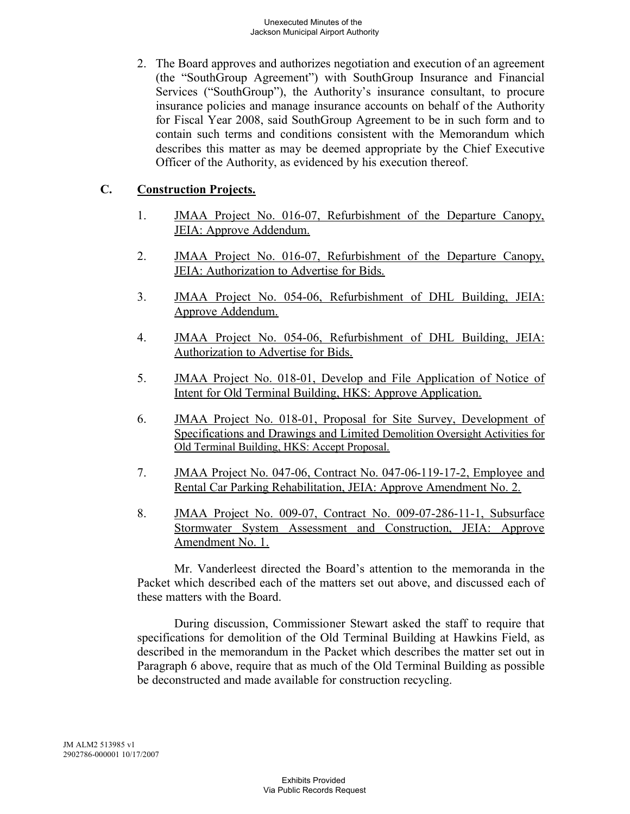2. The Board approves and authorizes negotiation and execution of an agreement (the "SouthGroup Agreement") with SouthGroup Insurance and Financial Services ("SouthGroup"), the Authority's insurance consultant, to procure insurance policies and manage insurance accounts on behalf of the Authority for Fiscal Year 2008, said SouthGroup Agreement to be in such form and to contain such terms and conditions consistent with the Memorandum which describes this matter as may be deemed appropriate by the Chief Executive Officer of the Authority, as evidenced by his execution thereof.

# **C. Construction Projects.**

- 1. JMAA Project No. 016-07, Refurbishment of the Departure Canopy, JEIA: Approve Addendum.
- 2. JMAA Project No. 016-07, Refurbishment of the Departure Canopy, JEIA: Authorization to Advertise for Bids.
- 3. JMAA Project No. 054-06, Refurbishment of DHL Building, JEIA: Approve Addendum.
- 4. JMAA Project No. 054-06, Refurbishment of DHL Building, JEIA: Authorization to Advertise for Bids.
- 5. JMAA Project No. 018-01, Develop and File Application of Notice of Intent for Old Terminal Building, HKS: Approve Application.
- 6. JMAA Project No. 018-01, Proposal for Site Survey, Development of Specifications and Drawings and Limited Demolition Oversight Activities for Old Terminal Building, HKS: Accept Proposal.
- 7. JMAA Project No. 047-06, Contract No. 047-06-119-17-2, Employee and Rental Car Parking Rehabilitation, JEIA: Approve Amendment No. 2.
- 8. JMAA Project No. 009-07, Contract No. 009-07-286-11-1, Subsurface Stormwater System Assessment and Construction, JEIA: Approve Amendment No. 1.

Mr. Vanderleest directed the Board's attention to the memoranda in the Packet which described each of the matters set out above, and discussed each of these matters with the Board.

During discussion, Commissioner Stewart asked the staff to require that specifications for demolition of the Old Terminal Building at Hawkins Field, as described in the memorandum in the Packet which describes the matter set out in Paragraph 6 above, require that as much of the Old Terminal Building as possible be deconstructed and made available for construction recycling.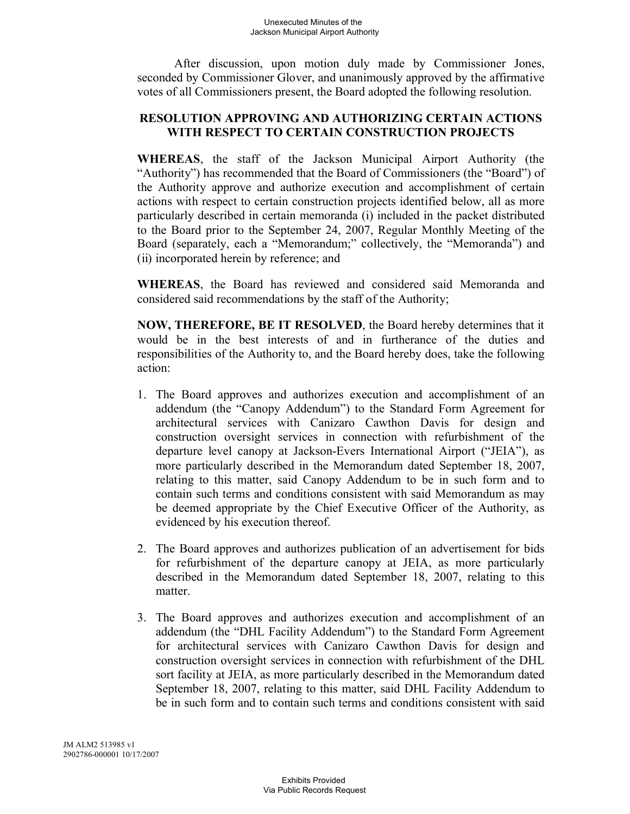After discussion, upon motion duly made by Commissioner Jones, seconded by Commissioner Glover, and unanimously approved by the affirmative votes of all Commissioners present, the Board adopted the following resolution.

# **RESOLUTION APPROVING AND AUTHORIZING CERTAIN ACTIONS WITH RESPECT TO CERTAIN CONSTRUCTION PROJECTS**

**WHEREAS**, the staff of the Jackson Municipal Airport Authority (the "Authority") has recommended that the Board of Commissioners (the "Board") of the Authority approve and authorize execution and accomplishment of certain actions with respect to certain construction projects identified below, all as more particularly described in certain memoranda (i) included in the packet distributed to the Board prior to the September 24, 2007, Regular Monthly Meeting of the Board (separately, each a "Memorandum;" collectively, the "Memoranda") and (ii) incorporated herein by reference; and

**WHEREAS**, the Board has reviewed and considered said Memoranda and considered said recommendations by the staff of the Authority;

**NOW, THEREFORE, BE IT RESOLVED**, the Board hereby determines that it would be in the best interests of and in furtherance of the duties and responsibilities of the Authority to, and the Board hereby does, take the following action:

- 1. The Board approves and authorizes execution and accomplishment of an addendum (the "Canopy Addendum") to the Standard Form Agreement for architectural services with Canizaro Cawthon Davis for design and construction oversight services in connection with refurbishment of the departure level canopy at Jackson-Evers International Airport ("JEIA"), as more particularly described in the Memorandum dated September 18, 2007, relating to this matter, said Canopy Addendum to be in such form and to contain such terms and conditions consistent with said Memorandum as may be deemed appropriate by the Chief Executive Officer of the Authority, as evidenced by his execution thereof.
- 2. The Board approves and authorizes publication of an advertisement for bids for refurbishment of the departure canopy at JEIA, as more particularly described in the Memorandum dated September 18, 2007, relating to this matter.
- 3. The Board approves and authorizes execution and accomplishment of an addendum (the "DHL Facility Addendum") to the Standard Form Agreement for architectural services with Canizaro Cawthon Davis for design and construction oversight services in connection with refurbishment of the DHL sort facility at JEIA, as more particularly described in the Memorandum dated September 18, 2007, relating to this matter, said DHL Facility Addendum to be in such form and to contain such terms and conditions consistent with said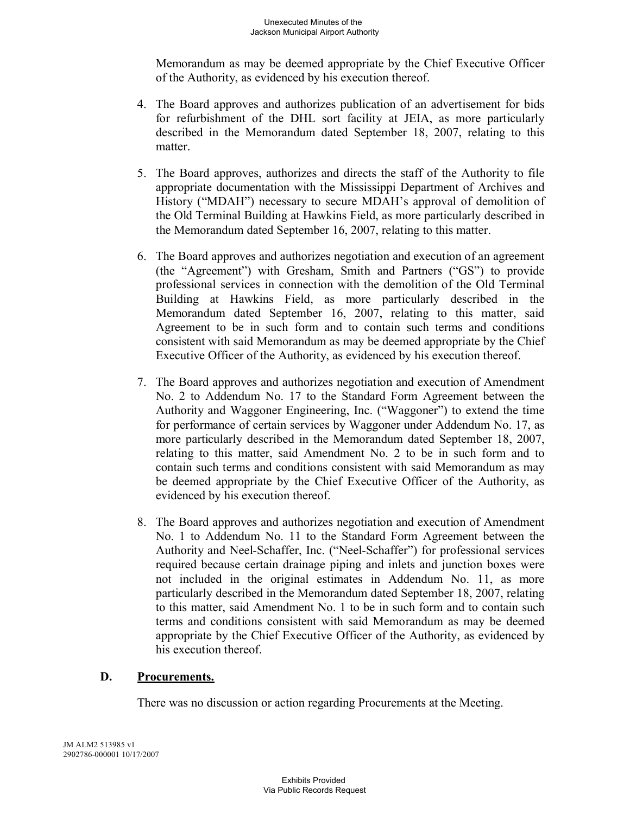Memorandum as may be deemed appropriate by the Chief Executive Officer of the Authority, as evidenced by his execution thereof.

- 4. The Board approves and authorizes publication of an advertisement for bids for refurbishment of the DHL sort facility at JEIA, as more particularly described in the Memorandum dated September 18, 2007, relating to this matter.
- 5. The Board approves, authorizes and directs the staff of the Authority to file appropriate documentation with the Mississippi Department of Archives and History ("MDAH") necessary to secure MDAH's approval of demolition of the Old Terminal Building at Hawkins Field, as more particularly described in the Memorandum dated September 16, 2007, relating to this matter.
- 6. The Board approves and authorizes negotiation and execution of an agreement (the "Agreement") with Gresham, Smith and Partners ("GS") to provide professional services in connection with the demolition of the Old Terminal Building at Hawkins Field, as more particularly described in the Memorandum dated September 16, 2007, relating to this matter, said Agreement to be in such form and to contain such terms and conditions consistent with said Memorandum as may be deemed appropriate by the Chief Executive Officer of the Authority, as evidenced by his execution thereof.
- 7. The Board approves and authorizes negotiation and execution of Amendment No. 2 to Addendum No. 17 to the Standard Form Agreement between the Authority and Waggoner Engineering, Inc. ("Waggoner") to extend the time for performance of certain services by Waggoner under Addendum No. 17, as more particularly described in the Memorandum dated September 18, 2007, relating to this matter, said Amendment No. 2 to be in such form and to contain such terms and conditions consistent with said Memorandum as may be deemed appropriate by the Chief Executive Officer of the Authority, as evidenced by his execution thereof.
- 8. The Board approves and authorizes negotiation and execution of Amendment No. 1 to Addendum No. 11 to the Standard Form Agreement between the Authority and Neel-Schaffer, Inc. ("Neel-Schaffer") for professional services required because certain drainage piping and inlets and junction boxes were not included in the original estimates in Addendum No. 11, as more particularly described in the Memorandum dated September 18, 2007, relating to this matter, said Amendment No. 1 to be in such form and to contain such terms and conditions consistent with said Memorandum as may be deemed appropriate by the Chief Executive Officer of the Authority, as evidenced by his execution thereof.

# **D. Procurements.**

There was no discussion or action regarding Procurements at the Meeting.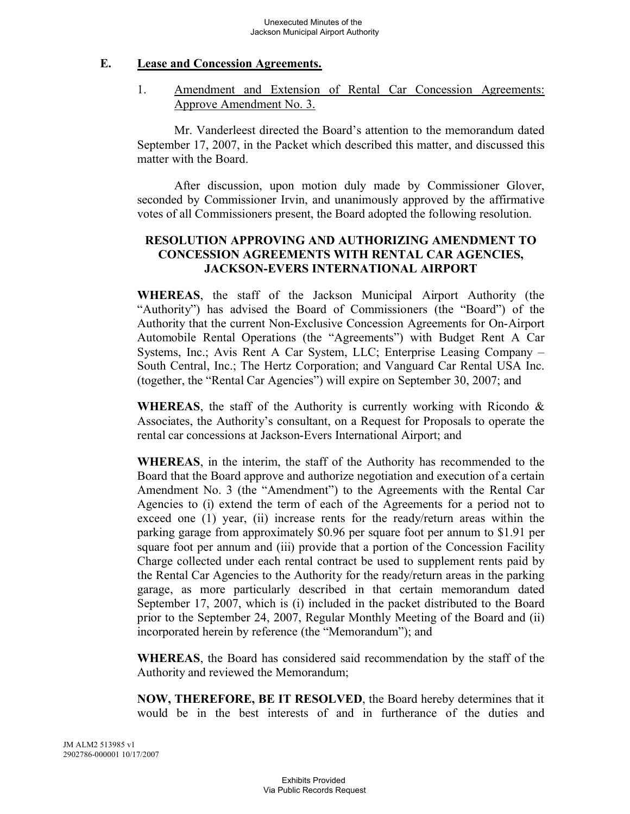#### **E. Lease and Concession Agreements.**

1. Amendment and Extension of Rental Car Concession Agreements: Approve Amendment No. 3.

Mr. Vanderleest directed the Board's attention to the memorandum dated September 17, 2007, in the Packet which described this matter, and discussed this matter with the Board.

After discussion, upon motion duly made by Commissioner Glover, seconded by Commissioner Irvin, and unanimously approved by the affirmative votes of all Commissioners present, the Board adopted the following resolution.

# **RESOLUTION APPROVING AND AUTHORIZING AMENDMENT TO CONCESSION AGREEMENTS WITH RENTAL CAR AGENCIES, JACKSON-EVERS INTERNATIONAL AIRPORT**

**WHEREAS**, the staff of the Jackson Municipal Airport Authority (the "Authority") has advised the Board of Commissioners (the "Board") of the Authority that the current Non-Exclusive Concession Agreements for On-Airport Automobile Rental Operations (the "Agreements") with Budget Rent A Car Systems, Inc.; Avis Rent A Car System, LLC; Enterprise Leasing Company – South Central, Inc.; The Hertz Corporation; and Vanguard Car Rental USA Inc. (together, the "Rental Car Agencies") will expire on September 30, 2007; and

**WHEREAS**, the staff of the Authority is currently working with Ricondo & Associates, the Authority's consultant, on a Request for Proposals to operate the rental car concessions at Jackson-Evers International Airport; and

**WHEREAS**, in the interim, the staff of the Authority has recommended to the Board that the Board approve and authorize negotiation and execution of a certain Amendment No. 3 (the "Amendment") to the Agreements with the Rental Car Agencies to (i) extend the term of each of the Agreements for a period not to exceed one (1) year, (ii) increase rents for the ready/return areas within the parking garage from approximately \$0.96 per square foot per annum to \$1.91 per square foot per annum and (iii) provide that a portion of the Concession Facility Charge collected under each rental contract be used to supplement rents paid by the Rental Car Agencies to the Authority for the ready/return areas in the parking garage, as more particularly described in that certain memorandum dated September 17, 2007, which is (i) included in the packet distributed to the Board prior to the September 24, 2007, Regular Monthly Meeting of the Board and (ii) incorporated herein by reference (the "Memorandum"); and

**WHEREAS**, the Board has considered said recommendation by the staff of the Authority and reviewed the Memorandum;

**NOW, THEREFORE, BE IT RESOLVED**, the Board hereby determines that it would be in the best interests of and in furtherance of the duties and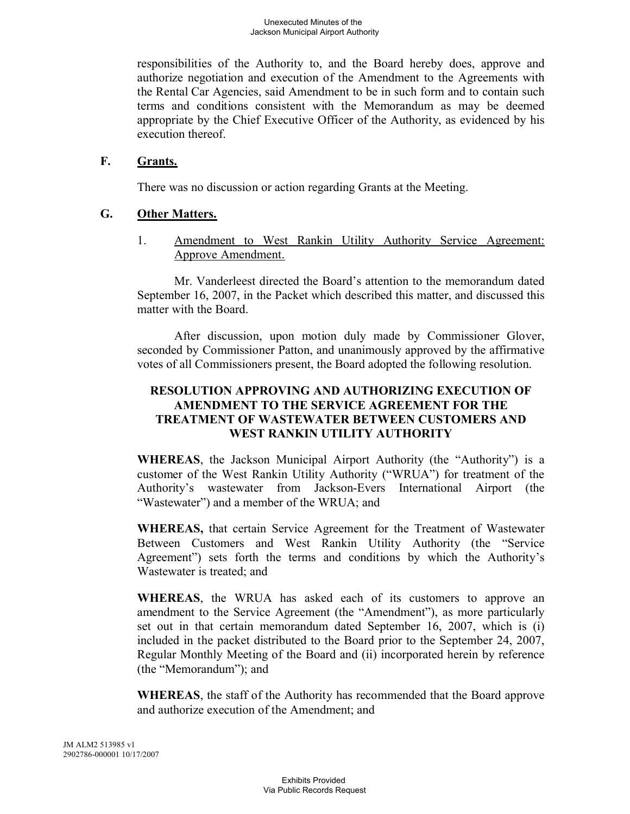responsibilities of the Authority to, and the Board hereby does, approve and authorize negotiation and execution of the Amendment to the Agreements with the Rental Car Agencies, said Amendment to be in such form and to contain such terms and conditions consistent with the Memorandum as may be deemed appropriate by the Chief Executive Officer of the Authority, as evidenced by his execution thereof.

## **F. Grants.**

There was no discussion or action regarding Grants at the Meeting.

## **G. Other Matters.**

1. Amendment to West Rankin Utility Authority Service Agreement: Approve Amendment.

Mr. Vanderleest directed the Board's attention to the memorandum dated September 16, 2007, in the Packet which described this matter, and discussed this matter with the Board.

After discussion, upon motion duly made by Commissioner Glover, seconded by Commissioner Patton, and unanimously approved by the affirmative votes of all Commissioners present, the Board adopted the following resolution.

# **RESOLUTION APPROVING AND AUTHORIZING EXECUTION OF AMENDMENT TO THE SERVICE AGREEMENT FOR THE TREATMENT OF WASTEWATER BETWEEN CUSTOMERS AND WEST RANKIN UTILITY AUTHORITY**

**WHEREAS**, the Jackson Municipal Airport Authority (the "Authority") is a customer of the West Rankin Utility Authority ("WRUA") for treatment of the Authority's wastewater from Jackson-Evers International Airport (the "Wastewater") and a member of the WRUA; and

**WHEREAS,** that certain Service Agreement for the Treatment of Wastewater Between Customers and West Rankin Utility Authority (the "Service Agreement") sets forth the terms and conditions by which the Authority's Wastewater is treated; and

**WHEREAS**, the WRUA has asked each of its customers to approve an amendment to the Service Agreement (the "Amendment"), as more particularly set out in that certain memorandum dated September 16, 2007, which is (i) included in the packet distributed to the Board prior to the September 24, 2007, Regular Monthly Meeting of the Board and (ii) incorporated herein by reference (the "Memorandum"); and

**WHEREAS**, the staff of the Authority has recommended that the Board approve and authorize execution of the Amendment; and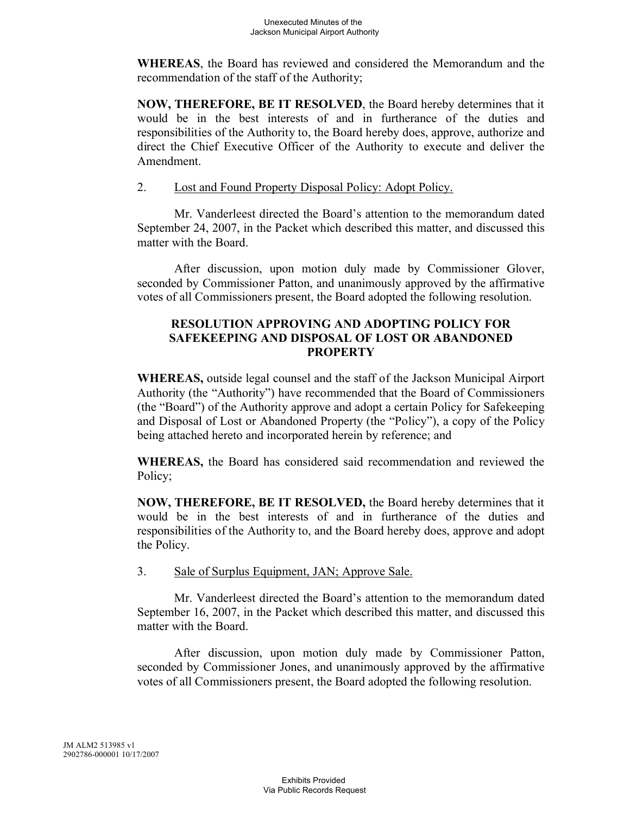**WHEREAS**, the Board has reviewed and considered the Memorandum and the recommendation of the staff of the Authority;

**NOW, THEREFORE, BE IT RESOLVED**, the Board hereby determines that it would be in the best interests of and in furtherance of the duties and responsibilities of the Authority to, the Board hereby does, approve, authorize and direct the Chief Executive Officer of the Authority to execute and deliver the Amendment.

2. Lost and Found Property Disposal Policy: Adopt Policy.

Mr. Vanderleest directed the Board's attention to the memorandum dated September 24, 2007, in the Packet which described this matter, and discussed this matter with the Board.

After discussion, upon motion duly made by Commissioner Glover, seconded by Commissioner Patton, and unanimously approved by the affirmative votes of all Commissioners present, the Board adopted the following resolution.

## **RESOLUTION APPROVING AND ADOPTING POLICY FOR SAFEKEEPING AND DISPOSAL OF LOST OR ABANDONED PROPERTY**

**WHEREAS,** outside legal counsel and the staff of the Jackson Municipal Airport Authority (the "Authority") have recommended that the Board of Commissioners (the "Board") of the Authority approve and adopt a certain Policy for Safekeeping and Disposal of Lost or Abandoned Property (the "Policy"), a copy of the Policy being attached hereto and incorporated herein by reference; and

**WHEREAS,** the Board has considered said recommendation and reviewed the Policy;

**NOW, THEREFORE, BE IT RESOLVED,** the Board hereby determines that it would be in the best interests of and in furtherance of the duties and responsibilities of the Authority to, and the Board hereby does, approve and adopt the Policy.

3. Sale of Surplus Equipment, JAN; Approve Sale.

Mr. Vanderleest directed the Board's attention to the memorandum dated September 16, 2007, in the Packet which described this matter, and discussed this matter with the Board.

After discussion, upon motion duly made by Commissioner Patton, seconded by Commissioner Jones, and unanimously approved by the affirmative votes of all Commissioners present, the Board adopted the following resolution.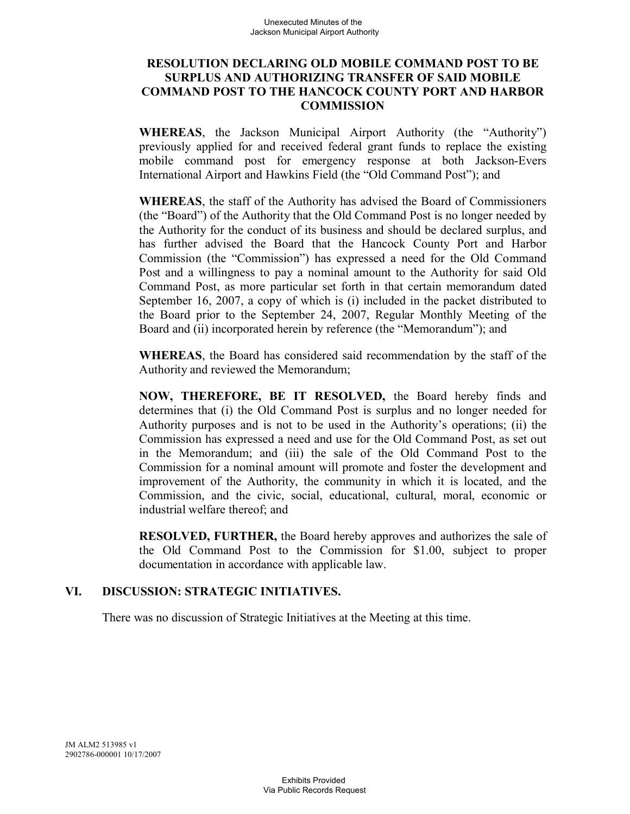## **RESOLUTION DECLARING OLD MOBILE COMMAND POST TO BE SURPLUS AND AUTHORIZING TRANSFER OF SAID MOBILE COMMAND POST TO THE HANCOCK COUNTY PORT AND HARBOR COMMISSION**

**WHEREAS**, the Jackson Municipal Airport Authority (the "Authority") previously applied for and received federal grant funds to replace the existing mobile command post for emergency response at both Jackson-Evers International Airport and Hawkins Field (the "Old Command Post"); and

**WHEREAS**, the staff of the Authority has advised the Board of Commissioners (the "Board") of the Authority that the Old Command Post is no longer needed by the Authority for the conduct of its business and should be declared surplus, and has further advised the Board that the Hancock County Port and Harbor Commission (the "Commission") has expressed a need for the Old Command Post and a willingness to pay a nominal amount to the Authority for said Old Command Post, as more particular set forth in that certain memorandum dated September 16, 2007, a copy of which is (i) included in the packet distributed to the Board prior to the September 24, 2007, Regular Monthly Meeting of the Board and (ii) incorporated herein by reference (the "Memorandum"); and

**WHEREAS**, the Board has considered said recommendation by the staff of the Authority and reviewed the Memorandum;

**NOW, THEREFORE, BE IT RESOLVED,** the Board hereby finds and determines that (i) the Old Command Post is surplus and no longer needed for Authority purposes and is not to be used in the Authority's operations; (ii) the Commission has expressed a need and use for the Old Command Post, as set out in the Memorandum; and (iii) the sale of the Old Command Post to the Commission for a nominal amount will promote and foster the development and improvement of the Authority, the community in which it is located, and the Commission, and the civic, social, educational, cultural, moral, economic or industrial welfare thereof; and

**RESOLVED, FURTHER,** the Board hereby approves and authorizes the sale of the Old Command Post to the Commission for \$1.00, subject to proper documentation in accordance with applicable law.

# **VI. DISCUSSION: STRATEGIC INITIATIVES.**

There was no discussion of Strategic Initiatives at the Meeting at this time.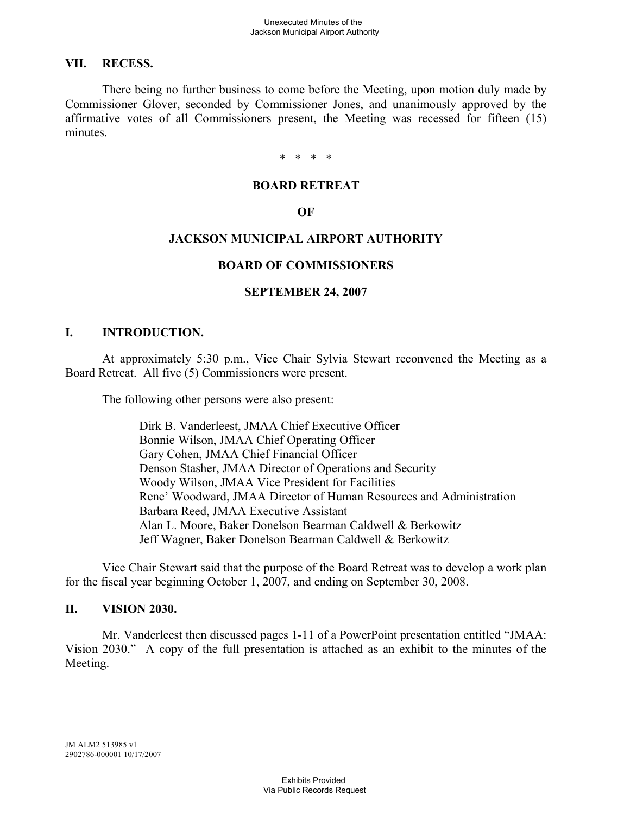## **VII. RECESS.**

There being no further business to come before the Meeting, upon motion duly made by Commissioner Glover, seconded by Commissioner Jones, and unanimously approved by the affirmative votes of all Commissioners present, the Meeting was recessed for fifteen (15) minutes.

\* \* \* \*

#### **BOARD RETREAT**

#### **OF**

## **JACKSON MUNICIPAL AIRPORT AUTHORITY**

#### **BOARD OF COMMISSIONERS**

#### **SEPTEMBER 24, 2007**

## **I. INTRODUCTION.**

At approximately 5:30 p.m., Vice Chair Sylvia Stewart reconvened the Meeting as a Board Retreat. All five (5) Commissioners were present.

The following other persons were also present:

Dirk B. Vanderleest, JMAA Chief Executive Officer Bonnie Wilson, JMAA Chief Operating Officer Gary Cohen, JMAA Chief Financial Officer Denson Stasher, JMAA Director of Operations and Security Woody Wilson, JMAA Vice President for Facilities Rene' Woodward, JMAA Director of Human Resources and Administration Barbara Reed, JMAA Executive Assistant Alan L. Moore, Baker Donelson Bearman Caldwell & Berkowitz Jeff Wagner, Baker Donelson Bearman Caldwell & Berkowitz

Vice Chair Stewart said that the purpose of the Board Retreat was to develop a work plan for the fiscal year beginning October 1, 2007, and ending on September 30, 2008.

#### **II. VISION 2030.**

Mr. Vanderleest then discussed pages 1-11 of a PowerPoint presentation entitled "JMAA: Vision 2030." A copy of the full presentation is attached as an exhibit to the minutes of the Meeting.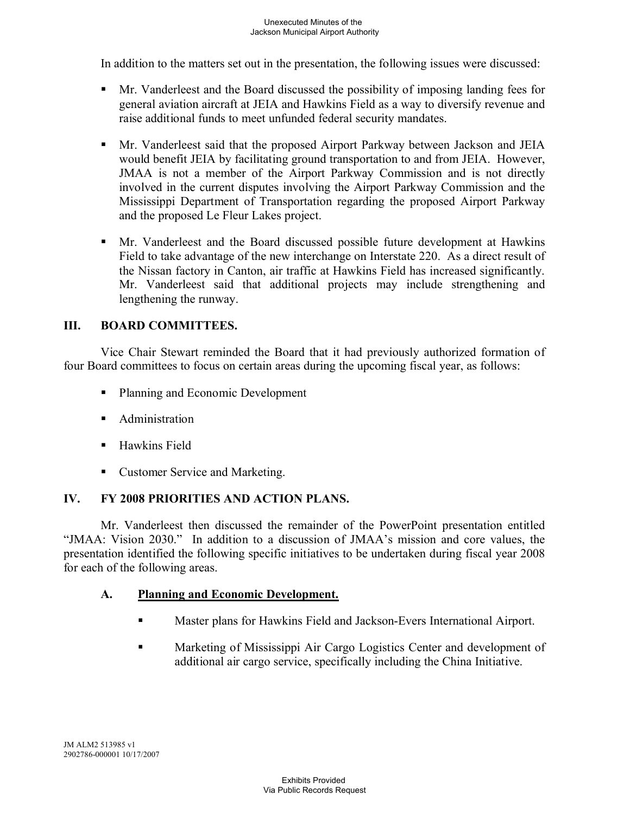In addition to the matters set out in the presentation, the following issues were discussed:

- Mr. Vanderleest and the Board discussed the possibility of imposing landing fees for general aviation aircraft at JEIA and Hawkins Field as a way to diversify revenue and raise additional funds to meet unfunded federal security mandates.
- § Mr. Vanderleest said that the proposed Airport Parkway between Jackson and JEIA would benefit JEIA by facilitating ground transportation to and from JEIA. However, JMAA is not a member of the Airport Parkway Commission and is not directly involved in the current disputes involving the Airport Parkway Commission and the Mississippi Department of Transportation regarding the proposed Airport Parkway and the proposed Le Fleur Lakes project.
- § Mr. Vanderleest and the Board discussed possible future development at Hawkins Field to take advantage of the new interchange on Interstate 220. As a direct result of the Nissan factory in Canton, air traffic at Hawkins Field has increased significantly. Mr. Vanderleest said that additional projects may include strengthening and lengthening the runway.

# **III. BOARD COMMITTEES.**

Vice Chair Stewart reminded the Board that it had previously authorized formation of four Board committees to focus on certain areas during the upcoming fiscal year, as follows:

- Planning and Economic Development
- Administration
- Hawkins Field
- Customer Service and Marketing.

# **IV. FY 2008 PRIORITIES AND ACTION PLANS.**

Mr. Vanderleest then discussed the remainder of the PowerPoint presentation entitled "JMAA: Vision 2030." In addition to a discussion of JMAA's mission and core values, the presentation identified the following specific initiatives to be undertaken during fiscal year 2008 for each of the following areas.

# **A. Planning and Economic Development.**

- **Master plans for Hawkins Field and Jackson-Evers International Airport.**
- Marketing of Mississippi Air Cargo Logistics Center and development of additional air cargo service, specifically including the China Initiative.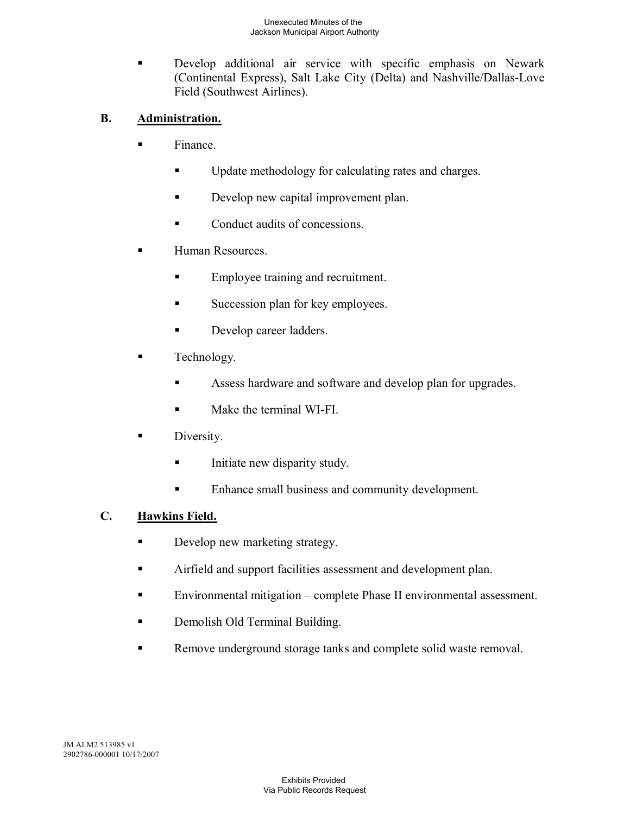Develop additional air service with specific emphasis on Newark (Continental Express), Salt Lake City (Delta) and Nashville/Dallas-Love Field (Southwest Airlines).

# **B. Administration.**

- § Finance.
	- Update methodology for calculating rates and charges.
	- **Develop new capital improvement plan.**
	- Conduct audits of concessions.
- Human Resources.
	- Employee training and recruitment.
	- Succession plan for key employees.
	- Develop career ladders.
- Technology.
	- Assess hardware and software and develop plan for upgrades.
	- Make the terminal WI-FI
- Diversity.
	- Initiate new disparity study.
	- Enhance small business and community development.

# **C. Hawkins Field.**

- Develop new marketing strategy.
- **EXECUTE:** Airfield and support facilities assessment and development plan.
- Environmental mitigation complete Phase II environmental assessment.
- Demolish Old Terminal Building.
- Remove underground storage tanks and complete solid waste removal.